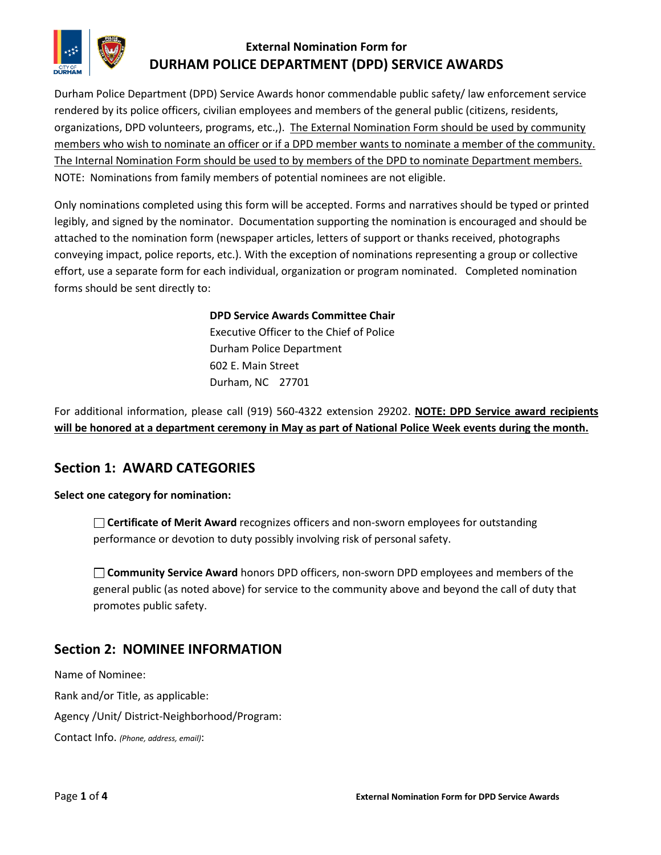

## **External Nomination Form for DURHAM POLICE DEPARTMENT (DPD) SERVICE AWARDS**

Durham Police Department (DPD) Service Awards honor commendable public safety/ law enforcement service rendered by its police officers, civilian employees and members of the general public (citizens, residents, organizations, DPD volunteers, programs, etc.,). The External Nomination Form should be used by community members who wish to nominate an officer or if a DPD member wants to nominate a member of the community. The Internal Nomination Form should be used to by members of the DPD to nominate Department members. NOTE: Nominations from family members of potential nominees are not eligible.

Only nominations completed using this form will be accepted. Forms and narratives should be typed or printed legibly, and signed by the nominator. Documentation supporting the nomination is encouraged and should be attached to the nomination form (newspaper articles, letters of support or thanks received, photographs conveying impact, police reports, etc.). With the exception of nominations representing a group or collective effort, use a separate form for each individual, organization or program nominated. Completed nomination forms should be sent directly to:

#### **DPD Service Awards Committee Chair**

Executive Officer to the Chief of Police Durham Police Department 602 E. Main Street Durham, NC 27701

For additional information, please call (919) 560-4322 extension 29202. **NOTE: DPD Service award recipients will be honored at a department ceremony in May as part of National Police Week events during the month.**

#### **Section 1: AWARD CATEGORIES**

**Select one category for nomination:**

**Certificate of Merit Award** recognizes officers and non-sworn employees for outstanding performance or devotion to duty possibly involving risk of personal safety.

**Community Service Award** honors DPD officers, non-sworn DPD employees and members of the general public (as noted above) for service to the community above and beyond the call of duty that promotes public safety.

## **Section 2: NOMINEE INFORMATION**

Name of Nominee: Rank and/or Title, as applicable: Agency /Unit/ District-Neighborhood/Program: Contact Info. *(Phone, address, email)*: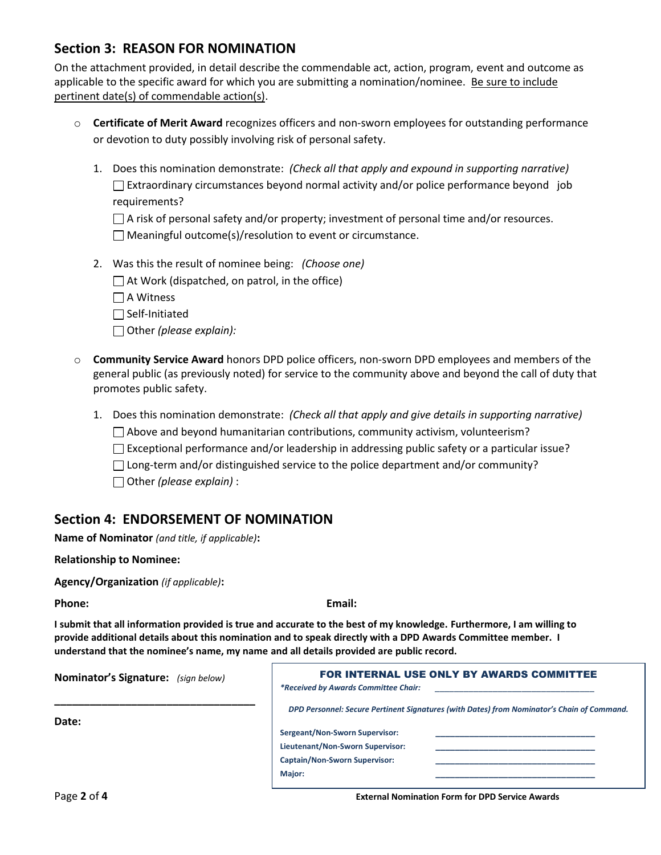## **Section 3: REASON FOR NOMINATION**

On the attachment provided, in detail describe the commendable act, action, program, event and outcome as applicable to the specific award for which you are submitting a nomination/nominee. Be sure to include pertinent date(s) of commendable action(s).

- o **Certificate of Merit Award** recognizes officers and non-sworn employees for outstanding performance or devotion to duty possibly involving risk of personal safety.
	- 1. Does this nomination demonstrate: *(Check all that apply and expound in supporting narrative)*  $\Box$  Extraordinary circumstances beyond normal activity and/or police performance beyond job requirements?

| $\Box$ A risk of personal safety and/or property; investment of personal time and/or resources. |
|-------------------------------------------------------------------------------------------------|
| $\Box$ Meaningful outcome(s)/resolution to event or circumstance.                               |

- 2. Was this the result of nominee being: *(Choose one)*
	- $\Box$  At Work (dispatched, on patrol, in the office)
	- $\Box$  A Witness
	- $\Box$  Self-Initiated
	- Other *(please explain):*
- o **Community Service Award** honors DPD police officers, non-sworn DPD employees and members of the general public (as previously noted) for service to the community above and beyond the call of duty that promotes public safety.
	- 1. Does this nomination demonstrate: *(Check all that apply and give details in supporting narrative)*
		- $\Box$  Above and beyond humanitarian contributions, community activism, volunteerism?
		- $\Box$  Exceptional performance and/or leadership in addressing public safety or a particular issue?
		- $\Box$  Long-term and/or distinguished service to the police department and/or community?
		- Other *(please explain)* :

#### **Section 4: ENDORSEMENT OF NOMINATION**

**Name of Nominator** *(and title, if applicable)***:**

#### **Relationship to Nominee:**

**Agency/Organization** *(if applicable)***:**

**Phone: Email:**

**I submit that all information provided is true and accurate to the best of my knowledge. Furthermore, I am willing to provide additional details about this nomination and to speak directly with a DPD Awards Committee member. I understand that the nominee's name, my name and all details provided are public record.**

| <b>Nominator's Signature:</b> (sign below) | FOR INTERNAL USE ONLY BY AWARDS COMMITTEE<br>*Received by Awards Committee Chair:          |
|--------------------------------------------|--------------------------------------------------------------------------------------------|
| Date:                                      | DPD Personnel: Secure Pertinent Signatures (with Dates) from Nominator's Chain of Command. |
|                                            | Sergeant/Non-Sworn Supervisor:                                                             |
|                                            | Lieutenant/Non-Sworn Supervisor:                                                           |
|                                            | <b>Captain/Non-Sworn Supervisor:</b>                                                       |
|                                            | Major:                                                                                     |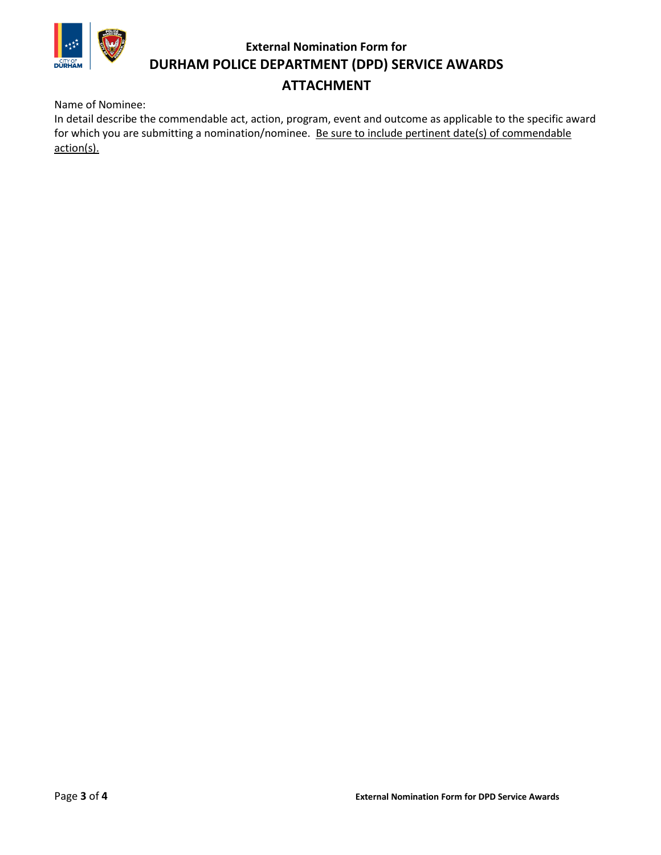

## **External Nomination Form for DURHAM POLICE DEPARTMENT (DPD) SERVICE AWARDS**

# **ATTACHMENT**

Name of Nominee:

In detail describe the commendable act, action, program, event and outcome as applicable to the specific award for which you are submitting a nomination/nominee. Be sure to include pertinent date(s) of commendable action(s).